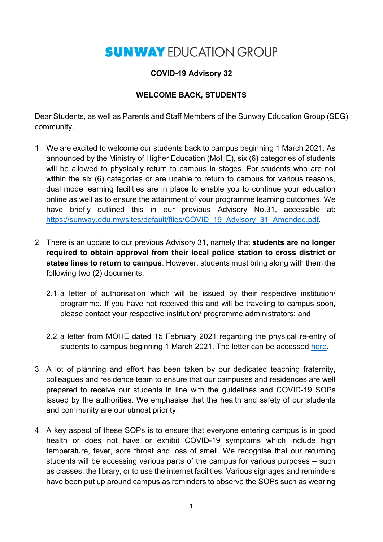## **COVID-19 Advisory 32**

## **WELCOME BACK, STUDENTS**

Dear Students, as well as Parents and Staff Members of the Sunway Education Group (SEG) community,

- 1. We are excited to welcome our students back to campus beginning 1 March 2021. As announced by the Ministry of Higher Education (MoHE), six (6) categories of students will be allowed to physically return to campus in stages. For students who are not within the six (6) categories or are unable to return to campus for various reasons, dual mode learning facilities are in place to enable you to continue your education online as well as to ensure the attainment of your programme learning outcomes. We have briefly outlined this in our previous Advisory No.31, accessible at: [https://sunway.edu.my/sites/default/files/COVID\\_19\\_Advisory\\_31\\_Amended.pdf.](https://sunway.edu.my/sites/default/files/COVID_19_Advisory_31_Amended.pdf)
- 2. There is an update to our previous Advisory 31, namely that **students are no longer required to obtain approval from their local police station to cross district or states lines to return to campus**. However, students must bring along with them the following two (2) documents:
	- 2.1.a letter of authorisation which will be issued by their respective institution/ programme. If you have not received this and will be traveling to campus soon, please contact your respective institution/ programme administrators; and
	- 2.2.a letter from MOHE dated 15 February 2021 regarding the physical re-entry of students to campus beginning 1 March 2021. The letter can be accessed [here.](https://sunway.edu.my/sites/default/files/MOHE-Letter-KEMASUKAN-SEMULA-PELAJAR-KE-KAMPUS-SECARA-FIZIKAL-BERMULA-1MAC2021.pdf)
- 3. A lot of planning and effort has been taken by our dedicated teaching fraternity, colleagues and residence team to ensure that our campuses and residences are well prepared to receive our students in line with the guidelines and COVID-19 SOPs issued by the authorities. We emphasise that the health and safety of our students and community are our utmost priority.
- 4. A key aspect of these SOPs is to ensure that everyone entering campus is in good health or does not have or exhibit COVID-19 symptoms which include high temperature, fever, sore throat and loss of smell. We recognise that our returning students will be accessing various parts of the campus for various purposes – such as classes, the library, or to use the internet facilities. Various signages and reminders have been put up around campus as reminders to observe the SOPs such as wearing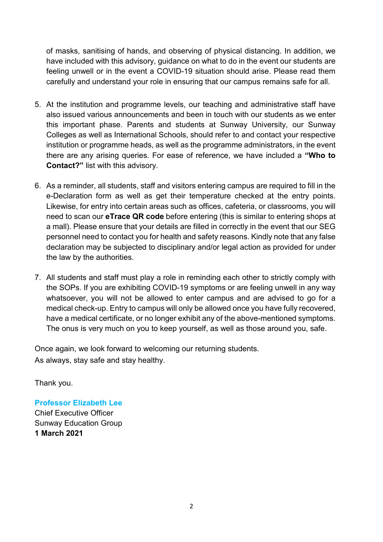of masks, sanitising of hands, and observing of physical distancing. In addition, we have included with this advisory, guidance on what to do in the event our students are feeling unwell or in the event a COVID-19 situation should arise. Please read them carefully and understand your role in ensuring that our campus remains safe for all.

- 5. At the institution and programme levels, our teaching and administrative staff have also issued various announcements and been in touch with our students as we enter this important phase. Parents and students at Sunway University, our Sunway Colleges as well as International Schools, should refer to and contact your respective institution or programme heads, as well as the programme administrators, in the event there are any arising queries. For ease of reference, we have included a **"Who to Contact?"** list with this advisory.
- 6. As a reminder, all students, staff and visitors entering campus are required to fill in the e-Declaration form as well as get their temperature checked at the entry points. Likewise, for entry into certain areas such as offices, cafeteria, or classrooms, you will need to scan our **eTrace QR code** before entering (this is similar to entering shops at a mall). Please ensure that your details are filled in correctly in the event that our SEG personnel need to contact you for health and safety reasons. Kindly note that any false declaration may be subjected to disciplinary and/or legal action as provided for under the law by the authorities.
- 7. All students and staff must play a role in reminding each other to strictly comply with the SOPs. If you are exhibiting COVID-19 symptoms or are feeling unwell in any way whatsoever, you will not be allowed to enter campus and are advised to go for a medical check-up. Entry to campus will only be allowed once you have fully recovered, have a medical certificate, or no longer exhibit any of the above-mentioned symptoms. The onus is very much on you to keep yourself, as well as those around you, safe.

Once again, we look forward to welcoming our returning students. As always, stay safe and stay healthy.

Thank you.

**Professor Elizabeth Lee**  Chief Executive Officer Sunway Education Group **1 March 2021**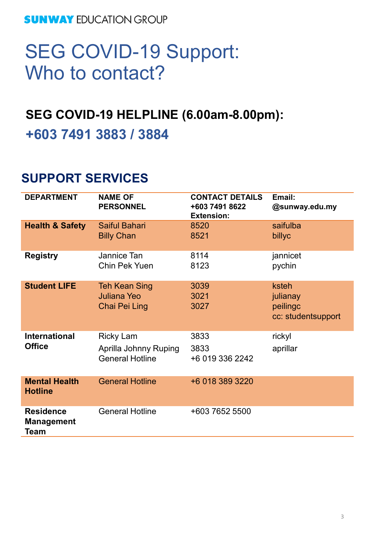# SEG COVID-19 Support: Who to contact?

# **SEG COVID-19 HELPLINE (6.00am-8.00pm):**

**+603 7491 3883 / 3884**

# **SUPPORT SERVICES**

| <b>DEPARTMENT</b>                             | <b>NAME OF</b><br><b>PERSONNEL</b>                                  | <b>CONTACT DETAILS</b><br>+603 7491 8622<br><b>Extension:</b> | Email:<br>@sunway.edu.my                            |
|-----------------------------------------------|---------------------------------------------------------------------|---------------------------------------------------------------|-----------------------------------------------------|
| <b>Health &amp; Safety</b>                    | <b>Saiful Bahari</b><br><b>Billy Chan</b>                           | 8520<br>8521                                                  | saifulba<br>billyc                                  |
| <b>Registry</b>                               | Jannice Tan<br><b>Chin Pek Yuen</b>                                 | 8114<br>8123                                                  | jannicet<br>pychin                                  |
| <b>Student LIFE</b>                           | <b>Teh Kean Sing</b><br><b>Juliana Yeo</b><br><b>Chai Pei Ling</b>  | 3039<br>3021<br>3027                                          | ksteh<br>julianay<br>peilingc<br>cc: studentsupport |
| <b>International</b><br><b>Office</b>         | <b>Ricky Lam</b><br>Aprilla Johnny Ruping<br><b>General Hotline</b> | 3833<br>3833<br>+6 019 336 2242                               | rickyl<br>aprillar                                  |
| <b>Mental Health</b><br><b>Hotline</b>        | <b>General Hotline</b>                                              | +6 018 389 3220                                               |                                                     |
| <b>Residence</b><br><b>Management</b><br>Team | <b>General Hotline</b>                                              | +603 7652 5500                                                |                                                     |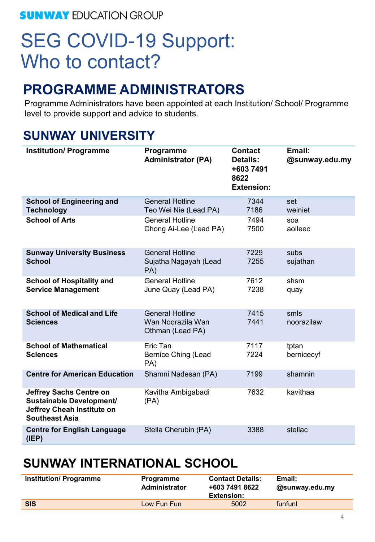# SEG COVID-19 Support: Who to contact?

# **PROGRAMME ADMINISTRATORS**

Programme Administrators have been appointed at each Institution/ School/ Programme level to provide support and advice to students.

# **SUNWAY UNIVERSITY**

| <b>Institution/ Programme</b>                                                                                     | Programme<br><b>Administrator (PA)</b>                          | <b>Contact</b><br><b>Details:</b><br>+603 7491<br>8622<br><b>Extension:</b> | Email:<br>@sunway.edu.my |  |
|-------------------------------------------------------------------------------------------------------------------|-----------------------------------------------------------------|-----------------------------------------------------------------------------|--------------------------|--|
| <b>School of Engineering and</b><br><b>Technology</b>                                                             | <b>General Hotline</b><br>Teo Wei Nie (Lead PA)                 | 7344<br>7186                                                                | set<br>weiniet           |  |
| <b>School of Arts</b>                                                                                             | <b>General Hotline</b><br>Chong Ai-Lee (Lead PA)                | 7494<br>7500                                                                | soa<br>aoileec           |  |
| <b>Sunway University Business</b><br><b>School</b>                                                                | <b>General Hotline</b><br>Sujatha Nagayah (Lead<br>PA)          | 7229<br>7255                                                                | subs<br>sujathan         |  |
| <b>School of Hospitality and</b><br><b>Service Management</b>                                                     | <b>General Hotline</b><br>June Quay (Lead PA)                   | 7612<br>7238                                                                | shsm<br>quay             |  |
| <b>School of Medical and Life</b><br><b>Sciences</b>                                                              | <b>General Hotline</b><br>Wan Noorazila Wan<br>Othman (Lead PA) | 7415<br>7441                                                                | smls<br>noorazilaw       |  |
| <b>School of Mathematical</b><br><b>Sciences</b>                                                                  | Eric Tan<br><b>Bernice Ching (Lead</b><br>PA)                   | 7117<br>7224                                                                | tptan<br>bernicecyf      |  |
| <b>Centre for American Education</b>                                                                              | Shamni Nadesan (PA)                                             | 7199                                                                        | shamnin                  |  |
| <b>Jeffrey Sachs Centre on</b><br>Sustainable Development/<br>Jeffrey Cheah Institute on<br><b>Southeast Asia</b> | Kavitha Ambigabadi<br>(PA)                                      | 7632                                                                        | kavithaa                 |  |
| <b>Centre for English Language</b><br>(IEP)                                                                       | Stella Cherubin (PA)                                            | 3388                                                                        | stellac                  |  |

# **SUNWAY INTERNATIONAL SCHOOL**

| <b>Institution/Programme</b> | <b>Programme</b><br>Administrator | <b>Contact Details:</b><br>+603 7491 8622<br>Extension: | Email:<br>@sunway.edu.my |
|------------------------------|-----------------------------------|---------------------------------------------------------|--------------------------|
| <b>SIS</b>                   | Low Fun Fun                       | 5002                                                    | funfunl                  |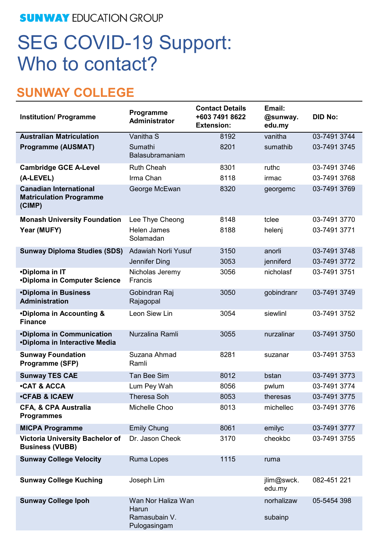# SEG COVID-19 Support: Who to contact?

# **SUNWAY COLLEGE**

| <b>Institution/Programme</b>                                              | Programme<br>Administrator                                   | <b>Contact Details</b><br>+603 7491 8622<br><b>Extension:</b> | Email:<br>@sunway.<br>edu.my | <b>DID No:</b> |
|---------------------------------------------------------------------------|--------------------------------------------------------------|---------------------------------------------------------------|------------------------------|----------------|
| <b>Australian Matriculation</b>                                           | Vanitha S                                                    | 8192                                                          | vanitha                      | 03-7491 3744   |
| <b>Programme (AUSMAT)</b>                                                 | Sumathi<br>Balasubramaniam                                   | 8201                                                          | sumathib                     | 03-7491 3745   |
| <b>Cambridge GCE A-Level</b>                                              | <b>Ruth Cheah</b>                                            | 8301                                                          | ruthc                        | 03-7491 3746   |
| (A-LEVEL)                                                                 | Irma Chan                                                    | 8118                                                          | irmac                        | 03-7491 3768   |
| <b>Canadian International</b><br><b>Matriculation Programme</b><br>(CIMP) | George McEwan                                                | 8320                                                          | georgemc                     | 03-7491 3769   |
| <b>Monash University Foundation</b>                                       | Lee Thye Cheong                                              | 8148                                                          | tclee                        | 03-7491 3770   |
| Year (MUFY)                                                               | Helen James<br>Solamadan                                     | 8188                                                          | helenj                       | 03-7491 3771   |
| <b>Sunway Diploma Studies (SDS)</b>                                       | Adawiah Norli Yusuf                                          | 3150                                                          | anorli                       | 03-7491 3748   |
|                                                                           | Jennifer Ding                                                | 3053                                                          | jenniferd                    | 03-7491 3772   |
| •Diploma in IT<br><b>.Diploma in Computer Science</b>                     | Nicholas Jeremy<br>Francis                                   | 3056                                                          | nicholasf                    | 03-7491 3751   |
| •Diploma in Business<br><b>Administration</b>                             | Gobindran Raj<br>Rajagopal                                   | 3050                                                          | gobindranr                   | 03-7491 3749   |
| *Diploma in Accounting &<br><b>Finance</b>                                | Leon Siew Lin                                                | 3054                                                          | siewlinl                     | 03-7491 3752   |
| •Diploma in Communication<br>•Diploma in Interactive Media                | Nurzalina Ramli                                              | 3055                                                          | nurzalinar                   | 03-7491 3750   |
| <b>Sunway Foundation</b><br>Programme (SFP)                               | Suzana Ahmad<br>Ramli                                        | 8281                                                          | suzanar                      | 03-7491 3753   |
| <b>Sunway TES CAE</b>                                                     | <b>Tan Bee Sim</b>                                           | 8012                                                          | bstan                        | 03-7491 3773   |
| <b>•CAT &amp; ACCA</b>                                                    | Lum Pey Wah                                                  | 8056                                                          | pwlum                        | 03-7491 3774   |
| <b>•CFAB &amp; ICAEW</b>                                                  | <b>Theresa Soh</b>                                           | 8053                                                          | theresas                     | 03-7491 3775   |
| CFA, & CPA Australia<br><b>Programmes</b>                                 | Michelle Choo                                                | 8013                                                          | michellec                    | 03-7491 3776   |
| <b>MICPA Programme</b>                                                    | <b>Emily Chung</b>                                           | 8061                                                          | emilyc                       | 03-7491 3777   |
| <b>Victoria University Bachelor of</b><br><b>Business (VUBB)</b>          | Dr. Jason Cheok                                              | 3170                                                          | cheokbc                      | 03-7491 3755   |
| <b>Sunway College Velocity</b>                                            | Ruma Lopes                                                   | 1115                                                          | ruma                         |                |
| <b>Sunway College Kuching</b>                                             | Joseph Lim                                                   |                                                               | jlim@swck.<br>edu.my         | 082-451 221    |
| <b>Sunway College Ipoh</b>                                                | Wan Nor Haliza Wan<br>Harun<br>Ramasubain V.<br>Pulogasingam |                                                               | norhalizaw<br>subainp        | 05-5454 398    |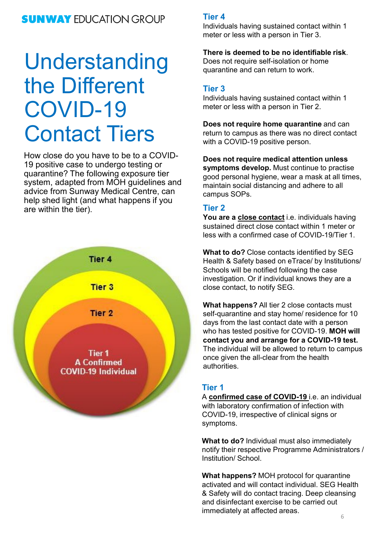# **Understanding** the Different COVID-19 Contact Tiers

How close do you have to be to a COVID-19 positive case to undergo testing or quarantine? The following exposure tier system, adapted from MOH guidelines and advice from Sunway Medical Centre, can help shed light (and what happens if you are within the tier).



#### **Tier 4**

Individuals having sustained contact within 1 meter or less with a person in Tier 3.

**There is deemed to be no identifiable risk**. Does not require self-isolation or home quarantine and can return to work.

#### **Tier 3**

Individuals having sustained contact within 1 meter or less with a person in Tier 2.

**Does not require home quarantine** and can return to campus as there was no direct contact with a COVID-19 positive person.

**Does not require medical attention unless symptoms develop.** Must continue to practise good personal hygiene, wear a mask at all times, maintain social distancing and adhere to all campus SOPs.

#### **Tier 2**

You are a close contact *i.e.* individuals having sustained direct close contact within 1 meter or less with a confirmed case of COVID-19/Tier 1.

**What to do?** Close contacts identified by SEG Health & Safety based on eTrace/ by Institutions/ Schools will be notified following the case investigation. Or if individual knows they are a close contact, to notify SEG.

**What happens?** All tier 2 close contacts must self-quarantine and stay home/ residence for 10 days from the last contact date with a person who has tested positive for COVID-19. **MOH will contact you and arrange for a COVID-19 test.**  The individual will be allowed to return to campus once given the all-clear from the health authorities.

#### **Tier 1**

A **confirmed case of COVID-19** i.e. an individual with laboratory confirmation of infection with COVID-19, irrespective of clinical signs or symptoms.

**What to do?** Individual must also immediately notify their respective Programme Administrators / Institution/ School.

**What happens?** MOH protocol for quarantine activated and will contact individual. SEG Health & Safety will do contact tracing. Deep cleansing and disinfectant exercise to be carried out immediately at affected areas.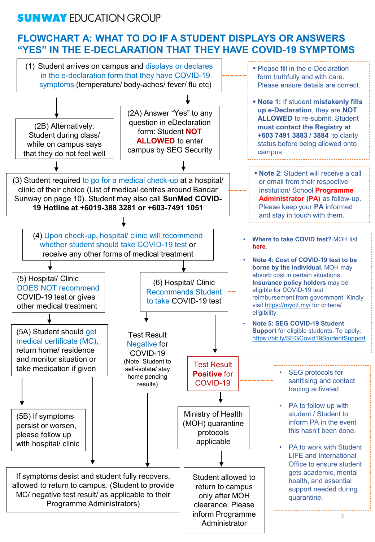## **FLOWCHART A: WHAT TO DO IF A STUDENT DISPLAYS OR ANSWERS "YES" IN THE E-DECLARATION THAT THEY HAVE COVID-19 SYMPTOMS**

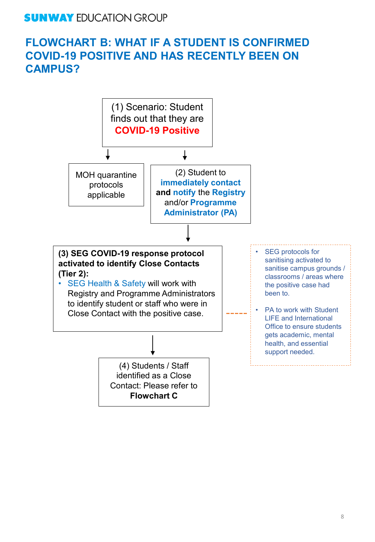# **FLOWCHART B: WHAT IF A STUDENT IS CONFIRMED COVID-19 POSITIVE AND HAS RECENTLY BEEN ON CAMPUS?**

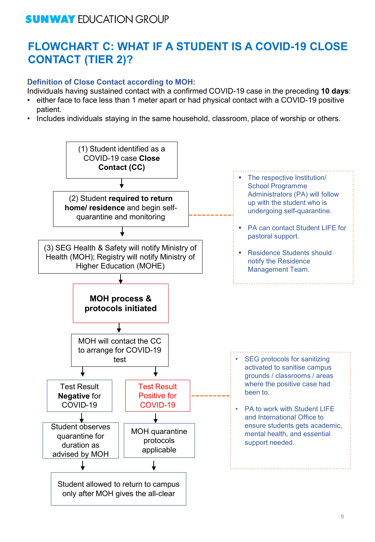# **FLOWCHART C: WHAT IF A STUDENT IS A COVID-19 CLOSE CONTACT (TIER 2)?**

#### **Definition of Close Contact according to MOH:**

Individuals having sustained contact with a confirmed COVID-19 case in the preceding **10 days**:

- either face to face less than 1 meter apart or had physical contact with a COVID-19 positive patient.
- Includes individuals staying in the same household, classroom, place of worship or others.